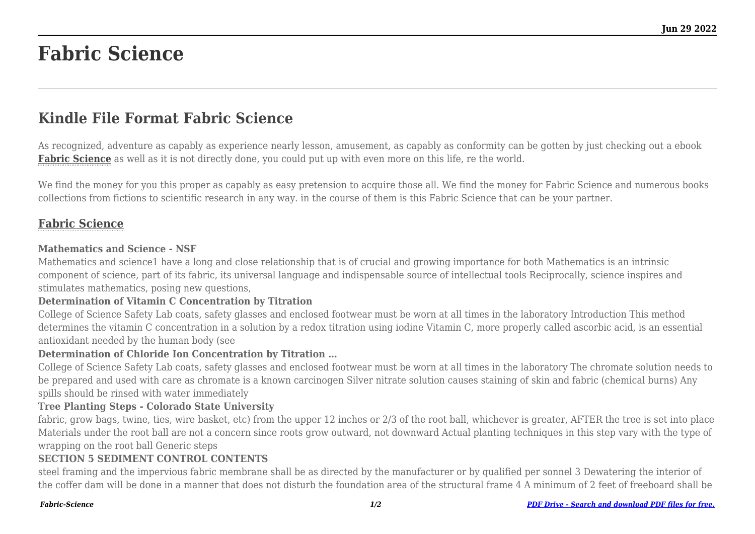# **Fabric Science**

## **Kindle File Format Fabric Science**

As recognized, adventure as capably as experience nearly lesson, amusement, as capably as conformity can be gotten by just checking out a ebook **[Fabric Science](http://jessicaberan.com)** as well as it is not directly done, you could put up with even more on this life, re the world.

We find the money for you this proper as capably as easy pretension to acquire those all. We find the money for Fabric Science and numerous books collections from fictions to scientific research in any way. in the course of them is this Fabric Science that can be your partner.

### **[Fabric Science](http://jessicaberan.com/Fabric-Science.pdf)**

#### **Mathematics and Science - NSF**

Mathematics and science1 have a long and close relationship that is of crucial and growing importance for both Mathematics is an intrinsic component of science, part of its fabric, its universal language and indispensable source of intellectual tools Reciprocally, science inspires and stimulates mathematics, posing new questions,

#### **Determination of Vitamin C Concentration by Titration**

College of Science Safety Lab coats, safety glasses and enclosed footwear must be worn at all times in the laboratory Introduction This method determines the vitamin C concentration in a solution by a redox titration using iodine Vitamin C, more properly called ascorbic acid, is an essential antioxidant needed by the human body (see

#### **Determination of Chloride Ion Concentration by Titration …**

College of Science Safety Lab coats, safety glasses and enclosed footwear must be worn at all times in the laboratory The chromate solution needs to be prepared and used with care as chromate is a known carcinogen Silver nitrate solution causes staining of skin and fabric (chemical burns) Any spills should be rinsed with water immediately

#### **Tree Planting Steps - Colorado State University**

fabric, grow bags, twine, ties, wire basket, etc) from the upper 12 inches or 2/3 of the root ball, whichever is greater, AFTER the tree is set into place Materials under the root ball are not a concern since roots grow outward, not downward Actual planting techniques in this step vary with the type of wrapping on the root ball Generic steps

#### **SECTION 5 SEDIMENT CONTROL CONTENTS**

steel framing and the impervious fabric membrane shall be as directed by the manufacturer or by qualified per sonnel 3 Dewatering the interior of the coffer dam will be done in a manner that does not disturb the foundation area of the structural frame 4 A minimum of 2 feet of freeboard shall be